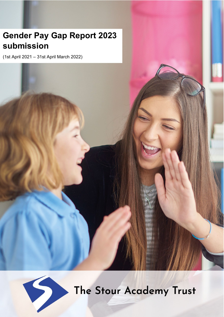# **Gender Pay Gap Report 2023 submission**

(1st April 2021 – 31st April March 2022)



The Stour Academy Trust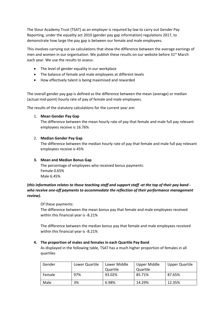The Stour Academy Trust (TSAT) as an employer is required by law to carry out Gender Pay Reporting, under the equality act 2010 (gender pay gap information) regulations 2017, to demonstrate how large the pay gap is between our female and male employees.

This involves carrying out six calculations that show the difference between the average earnings of men and women in our organisation. We publish these results on our website before 31<sup>st</sup> March each year. We use the results to assess:

- The level of gender equality in our workplace
- The balance of female and male employees at different levels
- How effectively talent is being maximised and rewarded

The overall gender pay gap is defined as the difference between the mean (average) or median (actual mid-point) hourly rate of pay of female and male employees.

The results of the statutory calculations for the current year are:

## 1. **Mean Gender Pay Gap**

The difference between the mean hourly rate of pay that female and male full pay relevant employees receive is 16.76%

# 2. **Median Gender Pay Gap**

The difference between the median hourly rate of pay that female and male full pay relevant employees receive is 45%

# **3. Mean and Median Bonus Gap**

The percentage of employees who received bonus payments: Female 0.65% Male 6.45%

# **(***this information relates to those teaching staff and support staff -at the top of their pay band who receive one-off payments to accommodate the reflection of their performance management review).*

## Of these payments:

The difference between the mean bonus pay that female and male employees received within this financial year is -8.21%

The difference between the median bonus pay that female and male employees received within this financial year is -8.21%

# **4. The proportion of males and females in each Quartile Pay Band**

As displayed in the following table, TSAT has a much higher proportion of females in all quartiles

| Gender | Lower Quartile | Lower Middle<br>Quartile | Upper Middle<br>Quartile | Upper Quartile |
|--------|----------------|--------------------------|--------------------------|----------------|
| Female | 97%            | 93.02%                   | 85.71%                   | 87.65%         |
| Male   | 3%             | 6.98%                    | 14.29%                   | 12.35%         |